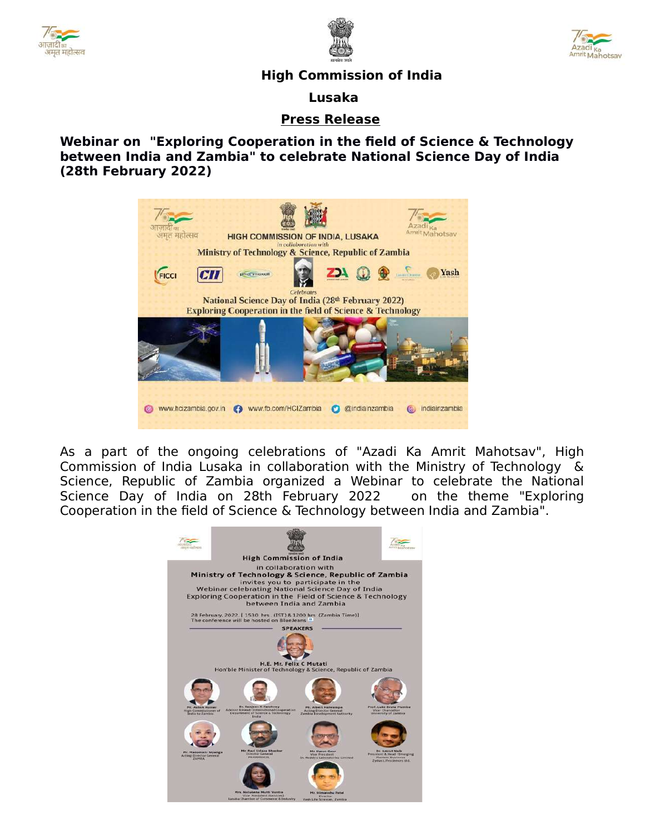





## **High Commission of India**

 **Lusaka**

## **Press Release**

**Webinar on "Exploring Cooperation in the field of Science & Technology between India and Zambia" to celebrate National Science Day of India (28th February 2022)** 



As a part of the ongoing celebrations of "Azadi Ka Amrit Mahotsav", High Commission of India Lusaka in collaboration with the Ministry of Technology & Science, Republic of Zambia organized a Webinar to celebrate the National Science Day of India on 28th February 2022 on the theme "Exploring Cooperation in the field of Science & Technology between India and Zambia".

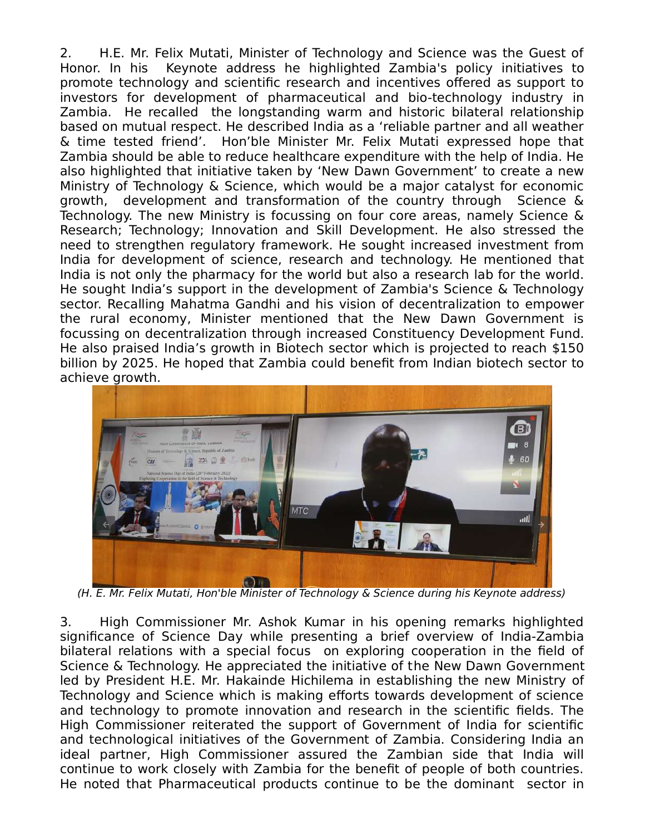2. H.E. Mr. Felix Mutati, Minister of Technology and Science was the Guest of Honor. In his Keynote address he highlighted Zambia's policy initiatives to promote technology and scientific research and incentives offered as support to investors for development of pharmaceutical and bio-technology industry in Zambia. He recalled the longstanding warm and historic bilateral relationship based on mutual respect. He described India as a 'reliable partner and all weather & time tested friend'. Hon'ble Minister Mr. Felix Mutati expressed hope that Zambia should be able to reduce healthcare expenditure with the help of India. He also highlighted that initiative taken by 'New Dawn Government' to create a new Ministry of Technology & Science, which would be a major catalyst for economic growth, development and transformation of the country through Science & Technology. The new Ministry is focussing on four core areas, namely Science & Research; Technology; Innovation and Skill Development. He also stressed the need to strengthen regulatory framework. He sought increased investment from India for development of science, research and technology. He mentioned that India is not only the pharmacy for the world but also a research lab for the world. He sought India's support in the development of Zambia's Science & Technology sector. Recalling Mahatma Gandhi and his vision of decentralization to empower the rural economy, Minister mentioned that the New Dawn Government is focussing on decentralization through increased Constituency Development Fund. He also praised India's growth in Biotech sector which is projected to reach \$150 billion by 2025. He hoped that Zambia could benefit from Indian biotech sector to achieve growth.



(H. E. Mr. Felix Mutati, Hon'ble Minister of Technology & Science during his Keynote address)

3. High Commissioner Mr. Ashok Kumar in his opening remarks highlighted significance of Science Day while presenting a brief overview of India-Zambia bilateral relations with a special focus on exploring cooperation in the field of Science & Technology. He appreciated the initiative of the New Dawn Government led by President H.E. Mr. Hakainde Hichilema in establishing the new Ministry of Technology and Science which is making efforts towards development of science and technology to promote innovation and research in the scientific fields. The High Commissioner reiterated the support of Government of India for scientific and technological initiatives of the Government of Zambia. Considering India an ideal partner, High Commissioner assured the Zambian side that India will continue to work closely with Zambia for the benefit of people of both countries. He noted that Pharmaceutical products continue to be the dominant sector in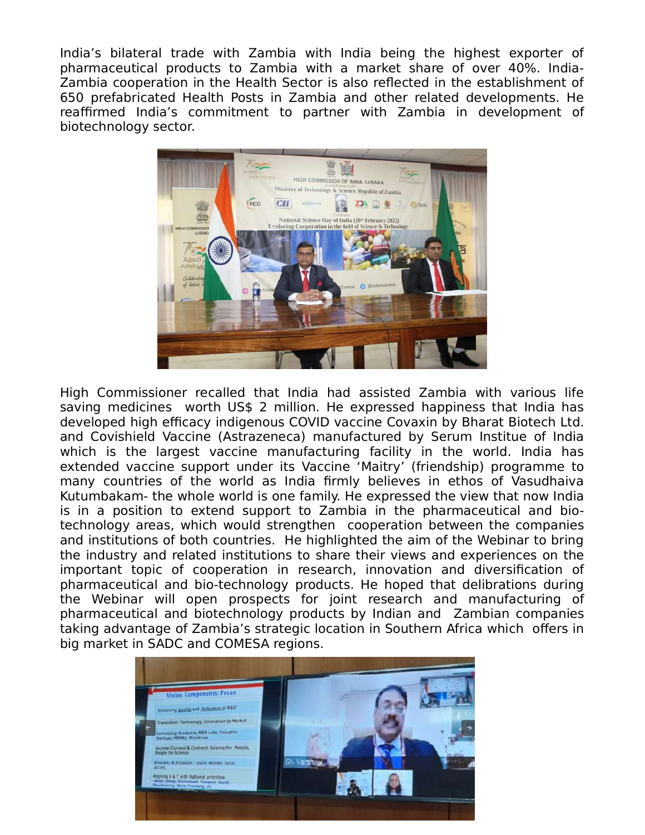India's bilateral trade with Zambia with India being the highest exporter of pharmaceutical products to Zambia with a market share of over 40%. India-Zambia cooperation in the Health Sector is also reflected in the establishment of 650 prefabricated Health Posts in Zambia and other related developments. He reaffirmed India's commitment to partner with Zambia in development of biotechnology sector.



High Commissioner recalled that India had assisted Zambia with various life saving medicines worth US\$ 2 million. He expressed happiness that India has developed high efficacy indigenous COVID vaccine Covaxin by Bharat Biotech Ltd. and Covishield Vaccine (Astrazeneca) manufactured by Serum Institue of India which is the largest vaccine manufacturing facility in the world. India has extended vaccine support under its Vaccine 'Maitry' (friendship) programme to many countries of the world as India firmly believes in ethos of Vasudhaiva Kutumbakam- the whole world is one family. He expressed the view that now India is in a position to extend support to Zambia in the pharmaceutical and biotechnology areas, which would strengthen cooperation between the companies and institutions of both countries. He highlighted the aim of the Webinar to bring the industry and related institutions to share their views and experiences on the important topic of cooperation in research, innovation and diversification of pharmaceutical and bio-technology products. He hoped that delibrations during the Webinar will open prospects for joint research and manufacturing of pharmaceutical and biotechnology products by Indian and Zambian companies taking advantage of Zambia's strategic location in Southern Africa which offers in big market in SADC and COMESA regions.

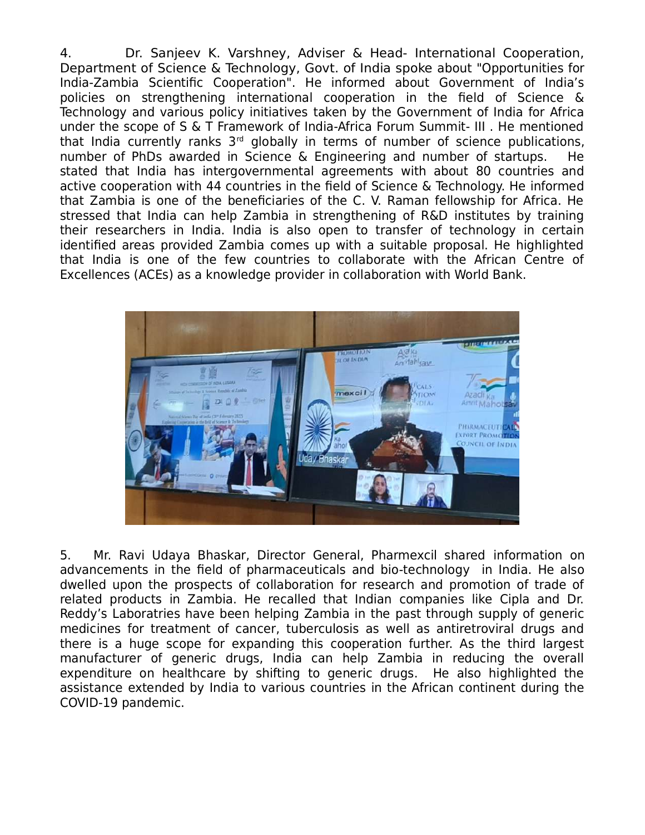4. Dr. Sanjeev K. Varshney, Adviser & Head- International Cooperation, Department of Science & Technology, Govt. of India spoke about "Opportunities for India-Zambia Scientific Cooperation". He informed about Government of India's policies on strengthening international cooperation in the field of Science & Technology and various policy initiatives taken by the Government of India for Africa under the scope of S & T Framework of India-Africa Forum Summit- III . He mentioned that India currently ranks  $3<sup>rd</sup>$  globally in terms of number of science publications, number of PhDs awarded in Science & Engineering and number of startups. He stated that India has intergovernmental agreements with about 80 countries and active cooperation with 44 countries in the field of Science & Technology. He informed that Zambia is one of the beneficiaries of the C. V. Raman fellowship for Africa. He stressed that India can help Zambia in strengthening of R&D institutes by training their researchers in India. India is also open to transfer of technology in certain identified areas provided Zambia comes up with a suitable proposal. He highlighted that India is one of the few countries to collaborate with the African Centre of Excellences (ACEs) as a knowledge provider in collaboration with World Bank.



5. Mr. Ravi Udaya Bhaskar, Director General, Pharmexcil shared information on advancements in the field of pharmaceuticals and bio-technology in India. He also dwelled upon the prospects of collaboration for research and promotion of trade of related products in Zambia. He recalled that Indian companies like Cipla and Dr. Reddy's Laboratries have been helping Zambia in the past through supply of generic medicines for treatment of cancer, tuberculosis as well as antiretroviral drugs and there is a huge scope for expanding this cooperation further. As the third largest manufacturer of generic drugs, India can help Zambia in reducing the overall expenditure on healthcare by shifting to generic drugs. He also highlighted the assistance extended by India to various countries in the African continent during the COVID-19 pandemic.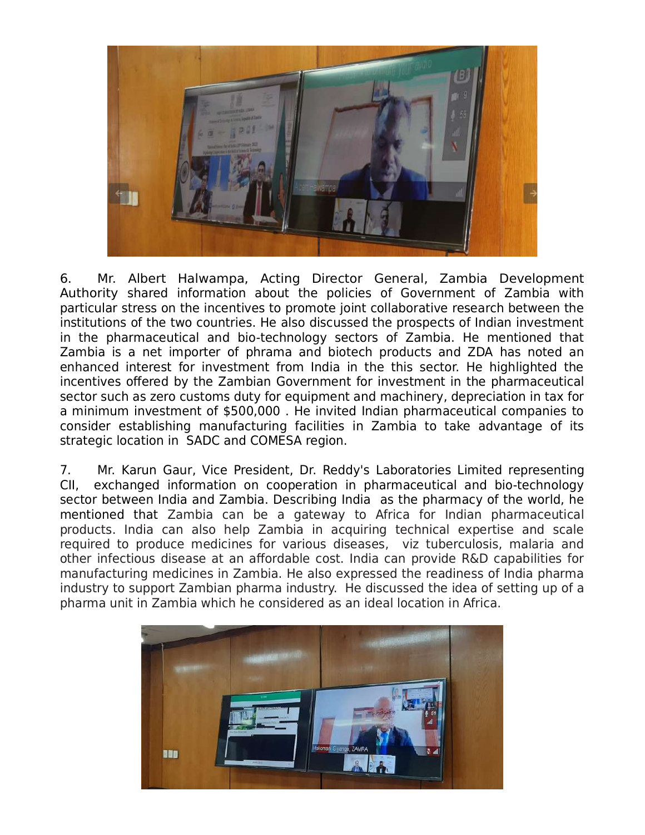

6. Mr. Albert Halwampa, Acting Director General, Zambia Development Authority shared information about the policies of Government of Zambia with particular stress on the incentives to promote joint collaborative research between the institutions of the two countries. He also discussed the prospects of Indian investment in the pharmaceutical and bio-technology sectors of Zambia. He mentioned that Zambia is a net importer of phrama and biotech products and ZDA has noted an enhanced interest for investment from India in the this sector. He highlighted the incentives offered by the Zambian Government for investment in the pharmaceutical sector such as zero customs duty for equipment and machinery, depreciation in tax for a minimum investment of \$500,000 . He invited Indian pharmaceutical companies to consider establishing manufacturing facilities in Zambia to take advantage of its strategic location in SADC and COMESA region.

7. Mr. Karun Gaur, Vice President, Dr. Reddy's Laboratories Limited representing CII, exchanged information on cooperation in pharmaceutical and bio-technology sector between India and Zambia. Describing India as the pharmacy of the world, he mentioned that Zambia can be a gateway to Africa for Indian pharmaceutical products. India can also help Zambia in acquiring technical expertise and scale required to produce medicines for various diseases, viz tuberculosis, malaria and other infectious disease at an affordable cost. India can provide R&D capabilities for manufacturing medicines in Zambia. He also expressed the readiness of India pharma industry to support Zambian pharma industry. He discussed the idea of setting up of a pharma unit in Zambia which he considered as an ideal location in Africa.

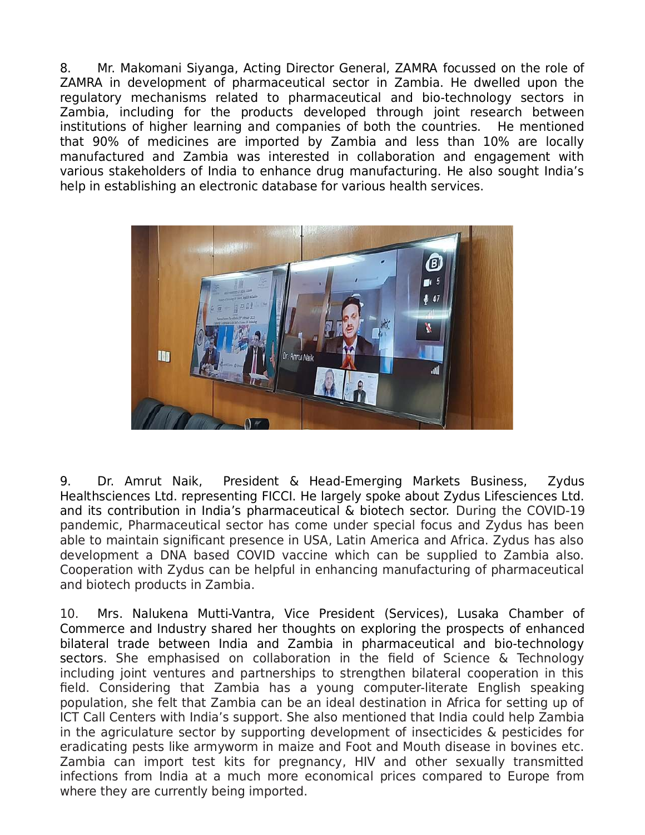8. Mr. Makomani Siyanga, Acting Director General, ZAMRA focussed on the role of ZAMRA in development of pharmaceutical sector in Zambia. He dwelled upon the regulatory mechanisms related to pharmaceutical and bio-technology sectors in Zambia, including for the products developed through joint research between institutions of higher learning and companies of both the countries. He mentioned that 90% of medicines are imported by Zambia and less than 10% are locally manufactured and Zambia was interested in collaboration and engagement with various stakeholders of India to enhance drug manufacturing. He also sought India's help in establishing an electronic database for various health services.



9. Dr. Amrut Naik, President & Head-Emerging Markets Business, Zydus Healthsciences Ltd. representing FICCI. He largely spoke about Zydus Lifesciences Ltd. and its contribution in India's pharmaceutical & biotech sector. During the COVID-19 pandemic, Pharmaceutical sector has come under special focus and Zydus has been able to maintain significant presence in USA, Latin America and Africa. Zydus has also development a DNA based COVID vaccine which can be supplied to Zambia also. Cooperation with Zydus can be helpful in enhancing manufacturing of pharmaceutical and biotech products in Zambia.

10. Mrs. Nalukena Mutti-Vantra, Vice President (Services), Lusaka Chamber of Commerce and Industry shared her thoughts on exploring the prospects of enhanced bilateral trade between India and Zambia in pharmaceutical and bio-technology sectors. She emphasised on collaboration in the field of Science & Technology including joint ventures and partnerships to strengthen bilateral cooperation in this field. Considering that Zambia has a young computer-literate English speaking population, she felt that Zambia can be an ideal destination in Africa for setting up of ICT Call Centers with India's support. She also mentioned that India could help Zambia in the agriculature sector by supporting development of insecticides & pesticides for eradicating pests like armyworm in maize and Foot and Mouth disease in bovines etc. Zambia can import test kits for pregnancy, HIV and other sexually transmitted infections from India at a much more economical prices compared to Europe from where they are currently being imported.